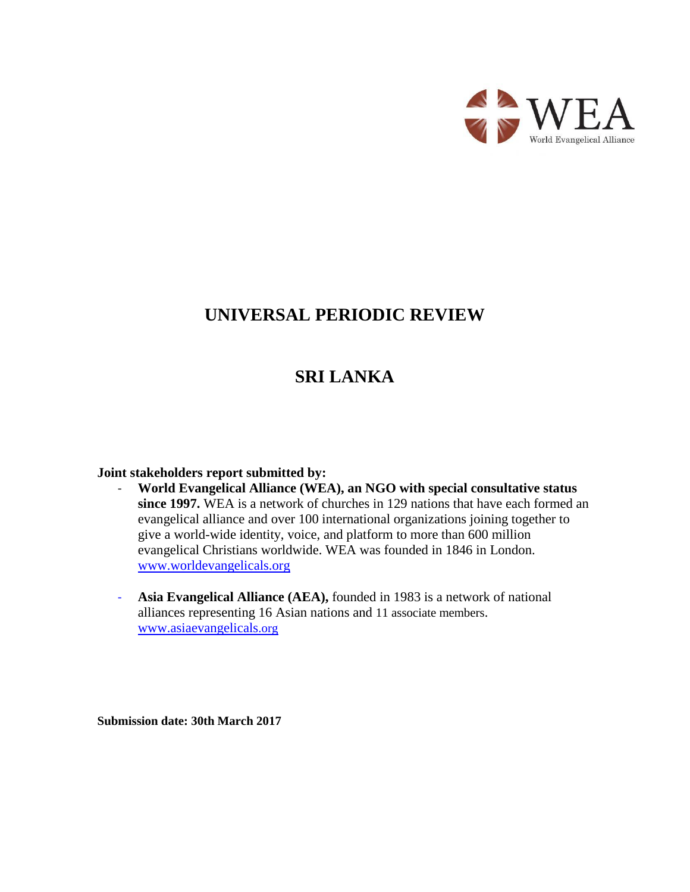

# **UNIVERSAL PERIODIC REVIEW**

# **SRI LANKA**

#### **Joint stakeholders report submitted by:**

- **World Evangelical Alliance (WEA), an NGO with special consultative status since 1997.** WEA is a network of churches in 129 nations that have each formed an evangelical alliance and over 100 international organizations joining together to give a world-wide identity, voice, and platform to more than 600 million evangelical Christians worldwide. WEA was founded in 1846 in London. [www.worldevangelicals.org](http://www.worldevangelicals.org/)
- **Asia Evangelical Alliance (AEA),** founded in 1983 is a network of national alliances representing 16 Asian nations and 11 associate members. [www.a](http://www./)siaevangelicals.org

**Submission date: 30th March 2017**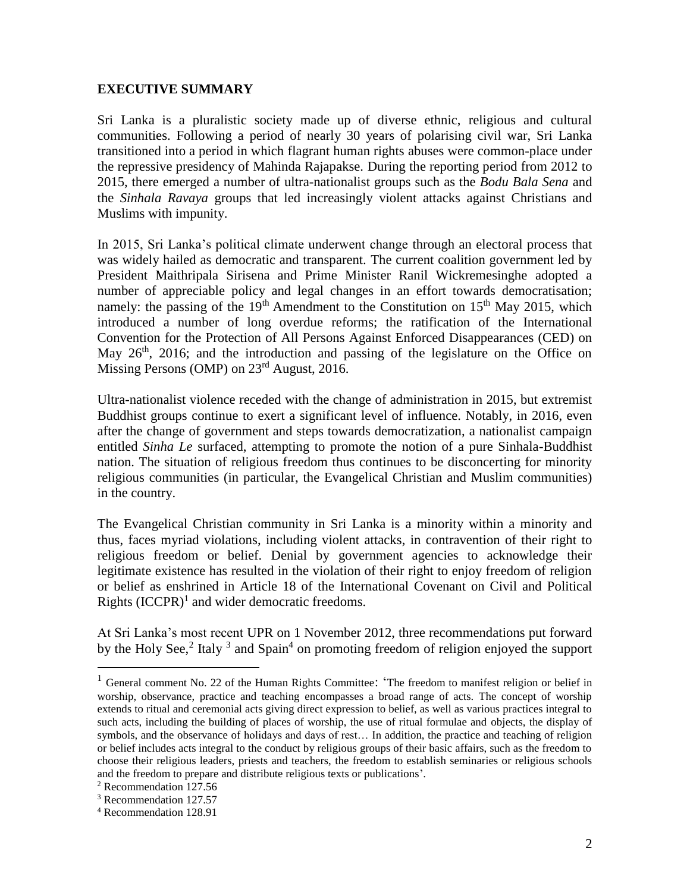#### **EXECUTIVE SUMMARY**

Sri Lanka is a pluralistic society made up of diverse ethnic, religious and cultural communities. Following a period of nearly 30 years of polarising civil war, Sri Lanka transitioned into a period in which flagrant human rights abuses were common-place under the repressive presidency of Mahinda Rajapakse. During the reporting period from 2012 to 2015, there emerged a number of ultra-nationalist groups such as the *Bodu Bala Sena* and the *Sinhala Ravaya* groups that led increasingly violent attacks against Christians and Muslims with impunity.

In 2015, Sri Lanka's political climate underwent change through an electoral process that was widely hailed as democratic and transparent. The current coalition government led by President Maithripala Sirisena and Prime Minister Ranil Wickremesinghe adopted a number of appreciable policy and legal changes in an effort towards democratisation; namely: the passing of the  $19<sup>th</sup>$  Amendment to the Constitution on  $15<sup>th</sup>$  May 2015, which introduced a number of long overdue reforms; the ratification of the International Convention for the Protection of All Persons Against Enforced Disappearances (CED) on May 26<sup>th</sup>, 2016; and the introduction and passing of the legislature on the Office on Missing Persons (OMP) on 23<sup>rd</sup> August, 2016.

Ultra-nationalist violence receded with the change of administration in 2015, but extremist Buddhist groups continue to exert a significant level of influence. Notably, in 2016, even after the change of government and steps towards democratization, a nationalist campaign entitled *Sinha Le* surfaced, attempting to promote the notion of a pure Sinhala-Buddhist nation. The situation of religious freedom thus continues to be disconcerting for minority religious communities (in particular, the Evangelical Christian and Muslim communities) in the country.

The Evangelical Christian community in Sri Lanka is a minority within a minority and thus, faces myriad violations, including violent attacks, in contravention of their right to religious freedom or belief. Denial by government agencies to acknowledge their legitimate existence has resulted in the violation of their right to enjoy freedom of religion or belief as enshrined in Article 18 of the International Covenant on Civil and Political Rights  $(ICCPR)^1$  and wider democratic freedoms.

At Sri Lanka's most recent UPR on 1 November 2012, three recommendations put forward by the Holy See,<sup>2</sup> Italy  $3$  and Spain<sup>4</sup> on promoting freedom of religion enjoyed the support

<sup>&</sup>lt;sup>1</sup> General comment No. 22 of the Human Rights Committee: 'The freedom to manifest religion or belief in worship, observance, practice and teaching encompasses a broad range of acts. The concept of worship extends to ritual and ceremonial acts giving direct expression to belief, as well as various practices integral to such acts, including the building of places of worship, the use of ritual formulae and objects, the display of symbols, and the observance of holidays and days of rest… In addition, the practice and teaching of religion or belief includes acts integral to the conduct by religious groups of their basic affairs, such as the freedom to choose their religious leaders, priests and teachers, the freedom to establish seminaries or religious schools and the freedom to prepare and distribute religious texts or publications'.

<sup>2</sup> Recommendation 127.56

<sup>3</sup> Recommendation 127.57

<sup>4</sup> Recommendation 128.91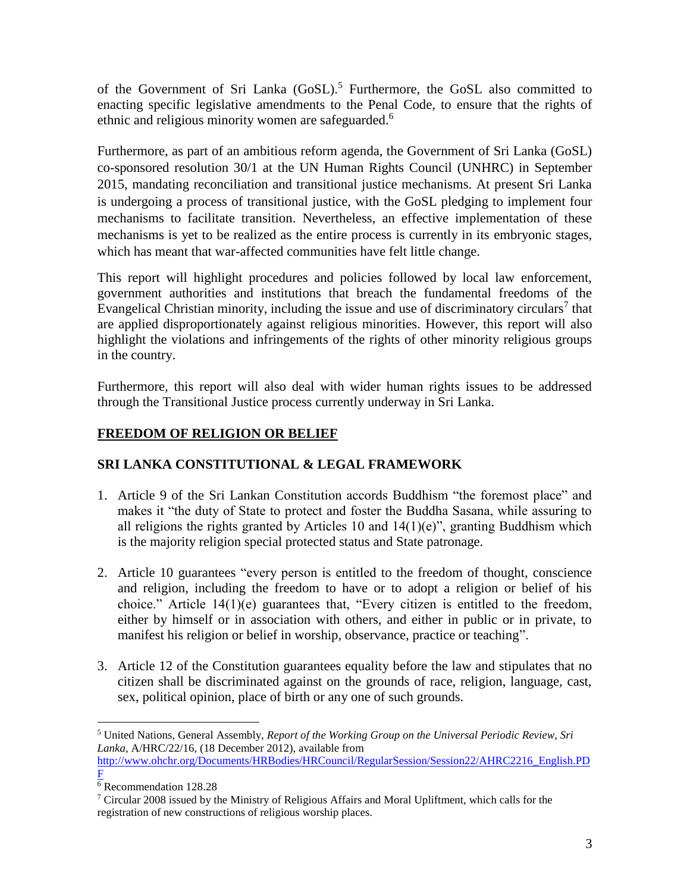of the Government of Sri Lanka (GoSL).<sup>5</sup> Furthermore, the GoSL also committed to enacting specific legislative amendments to the Penal Code, to ensure that the rights of ethnic and religious minority women are safeguarded.<sup>6</sup>

Furthermore, as part of an ambitious reform agenda, the Government of Sri Lanka (GoSL) co-sponsored resolution 30/1 at the UN Human Rights Council (UNHRC) in September 2015, mandating reconciliation and transitional justice mechanisms. At present Sri Lanka is undergoing a process of transitional justice, with the GoSL pledging to implement four mechanisms to facilitate transition. Nevertheless, an effective implementation of these mechanisms is yet to be realized as the entire process is currently in its embryonic stages, which has meant that war-affected communities have felt little change.

This report will highlight procedures and policies followed by local law enforcement, government authorities and institutions that breach the fundamental freedoms of the Evangelical Christian minority, including the issue and use of discriminatory circulars<sup>7</sup> that are applied disproportionately against religious minorities. However, this report will also highlight the violations and infringements of the rights of other minority religious groups in the country.

Furthermore, this report will also deal with wider human rights issues to be addressed through the Transitional Justice process currently underway in Sri Lanka.

# **FREEDOM OF RELIGION OR BELIEF**

# **SRI LANKA CONSTITUTIONAL & LEGAL FRAMEWORK**

- 1. Article 9 of the Sri Lankan Constitution accords Buddhism "the foremost place" and makes it "the duty of State to protect and foster the Buddha Sasana, while assuring to all religions the rights granted by Articles 10 and  $14(1)(e)$ ", granting Buddhism which is the majority religion special protected status and State patronage.
- 2. Article 10 guarantees "every person is entitled to the freedom of thought, conscience and religion, including the freedom to have or to adopt a religion or belief of his choice." Article 14(1)(e) guarantees that, "Every citizen is entitled to the freedom, either by himself or in association with others, and either in public or in private, to manifest his religion or belief in worship, observance, practice or teaching".
- 3. Article 12 of the Constitution guarantees equality before the law and stipulates that no citizen shall be discriminated against on the grounds of race, religion, language, cast, sex, political opinion, place of birth or any one of such grounds.

 $\overline{a}$ <sup>5</sup> United Nations, General Assembly, *Report of the Working Group on the Universal Periodic Review, Sri Lanka*, A/HRC/22/16, (18 December 2012), available from

[http://www.ohchr.org/Documents/HRBodies/HRCouncil/RegularSession/Session22/AHRC2216\\_English.PD](http://www.ohchr.org/Documents/HRBodies/HRCouncil/RegularSession/Session22/AHRC2216_English.PDF) [F](http://www.ohchr.org/Documents/HRBodies/HRCouncil/RegularSession/Session22/AHRC2216_English.PDF)

 $\overline{6}$  Recommendation 128.28

<sup>7</sup> Circular 2008 issued by the Ministry of Religious Affairs and Moral Upliftment, which calls for the registration of new constructions of religious worship places.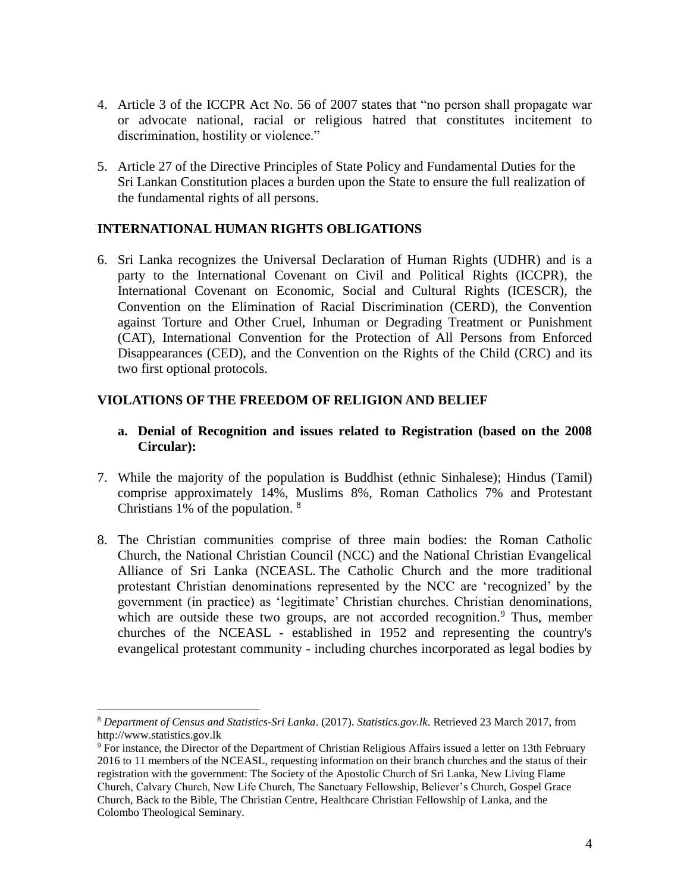- 4. Article 3 of the ICCPR Act No. 56 of 2007 states that "no person shall propagate war or advocate national, racial or religious hatred that constitutes incitement to discrimination, hostility or violence."
- 5. Article 27 of the Directive Principles of State Policy and Fundamental Duties for the Sri Lankan Constitution places a burden upon the State to ensure the full realization of the fundamental rights of all persons.

#### **INTERNATIONAL HUMAN RIGHTS OBLIGATIONS**

6. Sri Lanka recognizes the Universal Declaration of Human Rights (UDHR) and is a party to the International Covenant on Civil and Political Rights (ICCPR), the International Covenant on Economic, Social and Cultural Rights (ICESCR), the Convention on the Elimination of Racial Discrimination (CERD), the Convention against Torture and Other Cruel, Inhuman or Degrading Treatment or Punishment (CAT), International Convention for the Protection of All Persons from Enforced Disappearances (CED), and the Convention on the Rights of the Child (CRC) and its two first optional protocols.

### **VIOLATIONS OF THE FREEDOM OF RELIGION AND BELIEF**

### **a. Denial of Recognition and issues related to Registration (based on the 2008 Circular):**

- 7. While the majority of the population is Buddhist (ethnic Sinhalese); Hindus (Tamil) comprise approximately 14%, Muslims 8%, Roman Catholics 7% and Protestant Christians 1% of the population. <sup>8</sup>
- 8. The Christian communities comprise of three main bodies: the Roman Catholic Church, the National Christian Council (NCC) and the National Christian Evangelical Alliance of Sri Lanka (NCEASL. The Catholic Church and the more traditional protestant Christian denominations represented by the NCC are 'recognized' by the government (in practice) as 'legitimate' Christian churches. Christian denominations, which are outside these two groups, are not accorded recognition.<sup>9</sup> Thus, member churches of the NCEASL - established in 1952 and representing the country's evangelical protestant community - including churches incorporated as legal bodies by

<sup>8</sup> *Department of Census and Statistics-Sri Lanka*. (2017). *Statistics.gov.lk*. Retrieved 23 March 2017, from http://www.statistics.gov.lk

<sup>9</sup> For instance, the Director of the Department of Christian Religious Affairs issued a letter on 13th February 2016 to 11 members of the NCEASL, requesting information on their branch churches and the status of their registration with the government: The Society of the Apostolic Church of Sri Lanka, New Living Flame Church, Calvary Church, New Life Church, The Sanctuary Fellowship, Believer's Church, Gospel Grace Church, Back to the Bible, The Christian Centre, Healthcare Christian Fellowship of Lanka, and the Colombo Theological Seminary.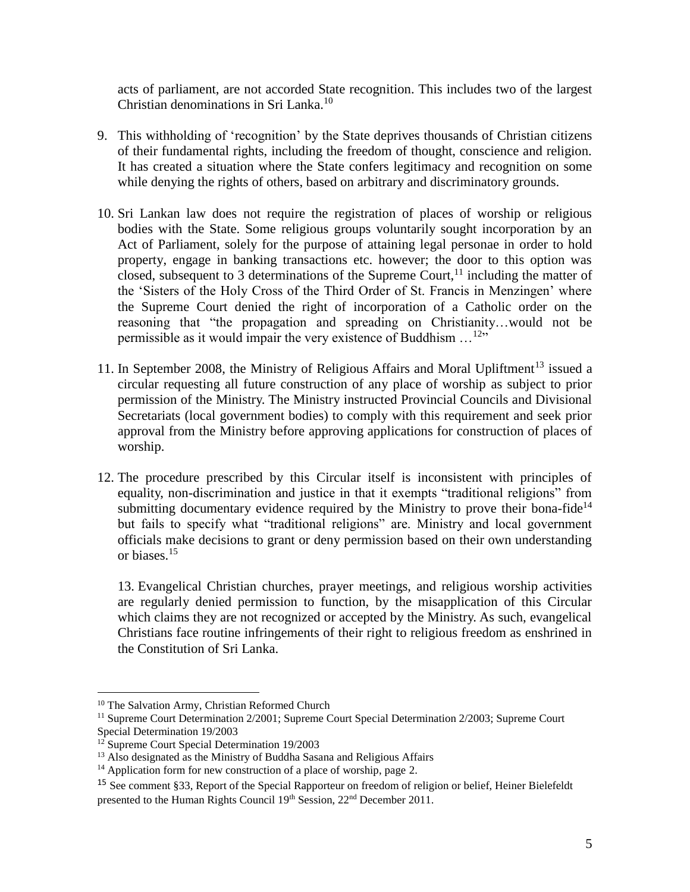acts of parliament, are not accorded State recognition. This includes two of the largest Christian denominations in Sri Lanka.<sup>10</sup>

- 9. This withholding of 'recognition' by the State deprives thousands of Christian citizens of their fundamental rights, including the freedom of thought, conscience and religion. It has created a situation where the State confers legitimacy and recognition on some while denying the rights of others, based on arbitrary and discriminatory grounds.
- 10. Sri Lankan law does not require the registration of places of worship or religious bodies with the State. Some religious groups voluntarily sought incorporation by an Act of Parliament, solely for the purpose of attaining legal personae in order to hold property, engage in banking transactions etc. however; the door to this option was closed, subsequent to 3 determinations of the Supreme Court,  $11$  including the matter of the 'Sisters of the Holy Cross of the Third Order of St. Francis in Menzingen' where the Supreme Court denied the right of incorporation of a Catholic order on the reasoning that "the propagation and spreading on Christianity…would not be permissible as it would impair the very existence of Buddhism  $\dots$ <sup>12</sup>"
- 11. In September 2008, the Ministry of Religious Affairs and Moral Upliftment<sup>13</sup> issued a circular requesting all future construction of any place of worship as subject to prior permission of the Ministry. The Ministry instructed Provincial Councils and Divisional Secretariats (local government bodies) to comply with this requirement and seek prior approval from the Ministry before approving applications for construction of places of worship.
- 12. The procedure prescribed by this Circular itself is inconsistent with principles of equality, non-discrimination and justice in that it exempts "traditional religions" from submitting documentary evidence required by the Ministry to prove their bona-fide<sup>14</sup> but fails to specify what "traditional religions" are. Ministry and local government officials make decisions to grant or deny permission based on their own understanding or biases.<sup>15</sup>

13. Evangelical Christian churches, prayer meetings, and religious worship activities are regularly denied permission to function, by the misapplication of this Circular which claims they are not recognized or accepted by the Ministry. As such, evangelical Christians face routine infringements of their right to religious freedom as enshrined in the Constitution of Sri Lanka.

<sup>&</sup>lt;sup>10</sup> The Salvation Army, Christian Reformed Church

<sup>&</sup>lt;sup>11</sup> Supreme Court Determination 2/2001; Supreme Court Special Determination 2/2003; Supreme Court Special Determination 19/2003

<sup>&</sup>lt;sup>12</sup> Supreme Court Special Determination 19/2003

<sup>&</sup>lt;sup>13</sup> Also designated as the Ministry of Buddha Sasana and Religious Affairs

<sup>&</sup>lt;sup>14</sup> Application form for new construction of a place of worship, page 2.

<sup>15</sup> See comment §33, Report of the Special Rapporteur on freedom of religion or belief, Heiner Bielefeldt presented to the Human Rights Council 19<sup>th</sup> Session, 22<sup>nd</sup> December 2011.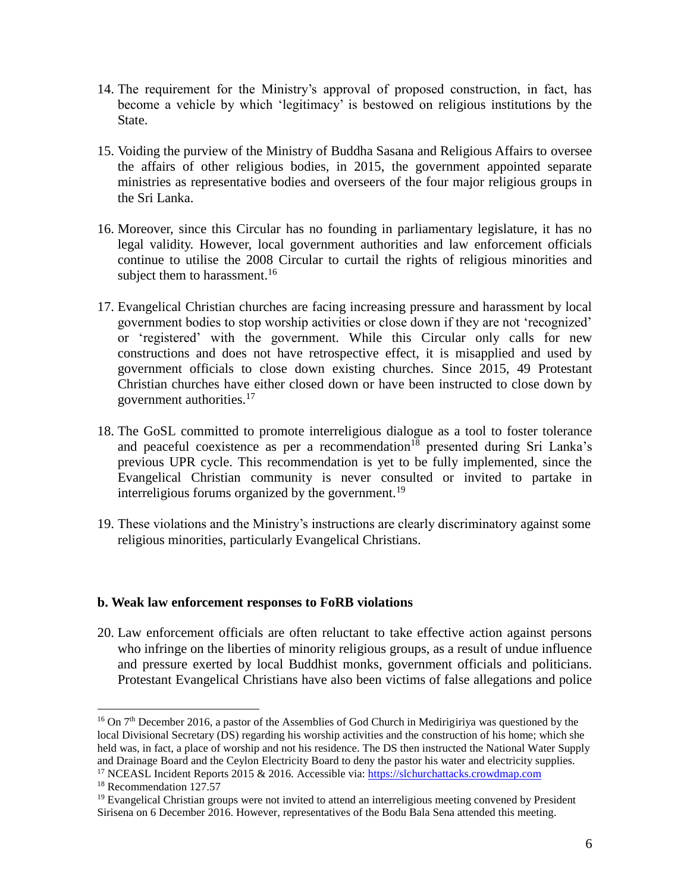- 14. The requirement for the Ministry's approval of proposed construction, in fact, has become a vehicle by which 'legitimacy' is bestowed on religious institutions by the State.
- 15. Voiding the purview of the Ministry of Buddha Sasana and Religious Affairs to oversee the affairs of other religious bodies, in 2015, the government appointed separate ministries as representative bodies and overseers of the four major religious groups in the Sri Lanka.
- 16. Moreover, since this Circular has no founding in parliamentary legislature, it has no legal validity. However, local government authorities and law enforcement officials continue to utilise the 2008 Circular to curtail the rights of religious minorities and subject them to harassment.<sup>16</sup>
- 17. Evangelical Christian churches are facing increasing pressure and harassment by local government bodies to stop worship activities or close down if they are not 'recognized' or 'registered' with the government. While this Circular only calls for new constructions and does not have retrospective effect, it is misapplied and used by government officials to close down existing churches. Since 2015, 49 Protestant Christian churches have either closed down or have been instructed to close down by government authorities.<sup>17</sup>
- 18. The GoSL committed to promote interreligious dialogue as a tool to foster tolerance and peaceful coexistence as per a recommendation<sup>18</sup> presented during Sri Lanka's previous UPR cycle. This recommendation is yet to be fully implemented, since the Evangelical Christian community is never consulted or invited to partake in interreligious forums organized by the government.<sup>19</sup>
- 19. These violations and the Ministry's instructions are clearly discriminatory against some religious minorities, particularly Evangelical Christians.

#### **b. Weak law enforcement responses to FoRB violations**

20. Law enforcement officials are often reluctant to take effective action against persons who infringe on the liberties of minority religious groups, as a result of undue influence and pressure exerted by local Buddhist monks, government officials and politicians. Protestant Evangelical Christians have also been victims of false allegations and police

<sup>&</sup>lt;sup>16</sup> On 7<sup>th</sup> December 2016, a pastor of the Assemblies of God Church in Medirigiriya was questioned by the local Divisional Secretary (DS) regarding his worship activities and the construction of his home; which she held was, in fact, a place of worship and not his residence. The DS then instructed the National Water Supply and Drainage Board and the Ceylon Electricity Board to deny the pastor his water and electricity supplies.

<sup>&</sup>lt;sup>17</sup> NCEASL Incident Reports 2015 & 2016. Accessible via[: https://slchurchattacks.crowdmap.com](https://slchurchattacks.crowdmap.com/)

<sup>&</sup>lt;sup>18</sup> Recommendation 127.57

<sup>&</sup>lt;sup>19</sup> Evangelical Christian groups were not invited to attend an interreligious meeting convened by President Sirisena on 6 December 2016. However, representatives of the Bodu Bala Sena attended this meeting.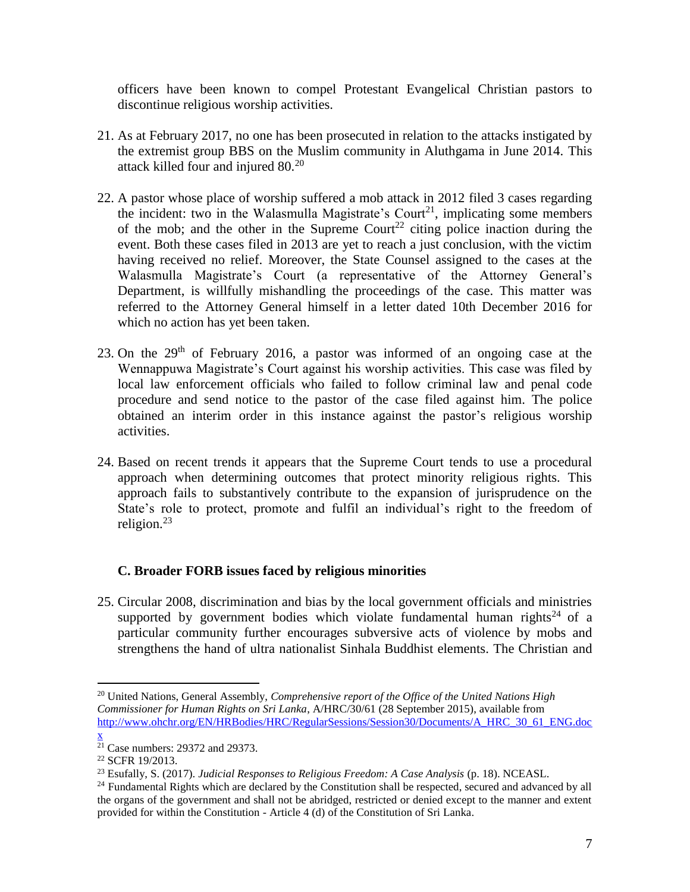officers have been known to compel Protestant Evangelical Christian pastors to discontinue religious worship activities.

- 21. As at February 2017, no one has been prosecuted in relation to the attacks instigated by the extremist group BBS on the Muslim community in Aluthgama in June 2014. This attack killed four and injured 80.<sup>20</sup>
- 22. A pastor whose place of worship suffered a mob attack in 2012 filed 3 cases regarding the incident: two in the Walasmulla Magistrate's Court<sup>21</sup>, implicating some members of the mob; and the other in the Supreme Court<sup>22</sup> citing police inaction during the event. Both these cases filed in 2013 are yet to reach a just conclusion, with the victim having received no relief. Moreover, the State Counsel assigned to the cases at the Walasmulla Magistrate's Court (a representative of the Attorney General's Department, is willfully mishandling the proceedings of the case. This matter was referred to the Attorney General himself in a letter dated 10th December 2016 for which no action has yet been taken.
- 23. On the  $29<sup>th</sup>$  of February 2016, a pastor was informed of an ongoing case at the Wennappuwa Magistrate's Court against his worship activities. This case was filed by local law enforcement officials who failed to follow criminal law and penal code procedure and send notice to the pastor of the case filed against him. The police obtained an interim order in this instance against the pastor's religious worship activities.
- 24. Based on recent trends it appears that the Supreme Court tends to use a procedural approach when determining outcomes that protect minority religious rights. This approach fails to substantively contribute to the expansion of jurisprudence on the State's role to protect, promote and fulfil an individual's right to the freedom of religion. $^{23}$

## **C. Broader FORB issues faced by religious minorities**

25. Circular 2008, discrimination and bias by the local government officials and ministries supported by government bodies which violate fundamental human rights<sup>24</sup> of a particular community further encourages subversive acts of violence by mobs and strengthens the hand of ultra nationalist Sinhala Buddhist elements. The Christian and

<sup>20</sup> United Nations, General Assembly, *Comprehensive report of the Office of the United Nations High Commissioner for Human Rights on Sri Lanka*, A/HRC/30/61 (28 September 2015), available from [http://www.ohchr.org/EN/HRBodies/HRC/RegularSessions/Session30/Documents/A\\_HRC\\_30\\_61\\_ENG.doc](http://www.ohchr.org/EN/HRBodies/HRC/RegularSessions/Session30/Documents/A_HRC_30_61_ENG.docx) [x](http://www.ohchr.org/EN/HRBodies/HRC/RegularSessions/Session30/Documents/A_HRC_30_61_ENG.docx)

 $21$  Case numbers: 29372 and 29373.

<sup>22</sup> SCFR 19/2013.

<sup>23</sup> Esufally, S. (2017). *Judicial Responses to Religious Freedom: A Case Analysis* (p. 18). NCEASL.

<sup>&</sup>lt;sup>24</sup> Fundamental Rights which are declared by the Constitution shall be respected, secured and advanced by all the organs of the government and shall not be abridged, restricted or denied except to the manner and extent provided for within the Constitution - Article 4 (d) of the Constitution of Sri Lanka.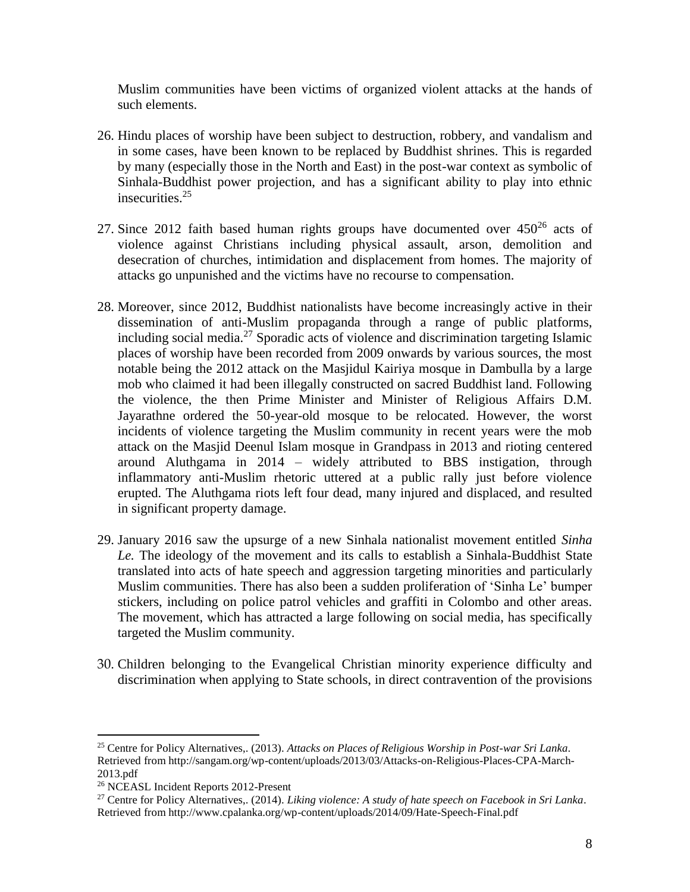Muslim communities have been victims of organized violent attacks at the hands of such elements.

- 26. Hindu places of worship have been subject to destruction, robbery, and vandalism and in some cases, have been known to be replaced by Buddhist shrines. This is regarded by many (especially those in the North and East) in the post-war context as symbolic of Sinhala-Buddhist power projection, and has a significant ability to play into ethnic insecurities. 25
- 27. Since 2012 faith based human rights groups have documented over  $450^{26}$  acts of violence against Christians including physical assault, arson, demolition and desecration of churches, intimidation and displacement from homes. The majority of attacks go unpunished and the victims have no recourse to compensation.
- 28. Moreover, since 2012, Buddhist nationalists have become increasingly active in their dissemination of anti-Muslim propaganda through a range of public platforms, including social media. <sup>27</sup> Sporadic acts of violence and discrimination targeting Islamic places of worship have been recorded from 2009 onwards by various sources, the most notable being the 2012 attack on the Masjidul Kairiya mosque in Dambulla by a large mob who claimed it had been illegally constructed on sacred Buddhist land. Following the violence, the then Prime Minister and Minister of Religious Affairs D.M. Jayarathne ordered the 50-year-old mosque to be relocated. However, the worst incidents of violence targeting the Muslim community in recent years were the mob attack on the Masjid Deenul Islam mosque in Grandpass in 2013 and rioting centered around Aluthgama in 2014 – widely attributed to BBS instigation, through inflammatory anti-Muslim rhetoric uttered at a public rally just before violence erupted. The Aluthgama riots left four dead, many injured and displaced, and resulted in significant property damage.
- 29. January 2016 saw the upsurge of a new Sinhala nationalist movement entitled *Sinha Le.* The ideology of the movement and its calls to establish a Sinhala-Buddhist State translated into acts of hate speech and aggression targeting minorities and particularly Muslim communities. There has also been a sudden proliferation of 'Sinha Le' bumper stickers, including on police patrol vehicles and graffiti in Colombo and other areas. The movement, which has attracted a large following on social media, has specifically targeted the Muslim community.
- 30. Children belonging to the Evangelical Christian minority experience difficulty and discrimination when applying to State schools, in direct contravention of the provisions

<sup>25</sup> Centre for Policy Alternatives,. (2013). *Attacks on Places of Religious Worship in Post-war Sri Lanka*. Retrieved from http://sangam.org/wp-content/uploads/2013/03/Attacks-on-Religious-Places-CPA-March-2013.pdf

<sup>&</sup>lt;sup>26</sup> NCEASL Incident Reports 2012-Present

<sup>27</sup> Centre for Policy Alternatives,. (2014). *Liking violence: A study of hate speech on Facebook in Sri Lanka*. Retrieved from http://www.cpalanka.org/wp-content/uploads/2014/09/Hate-Speech-Final.pdf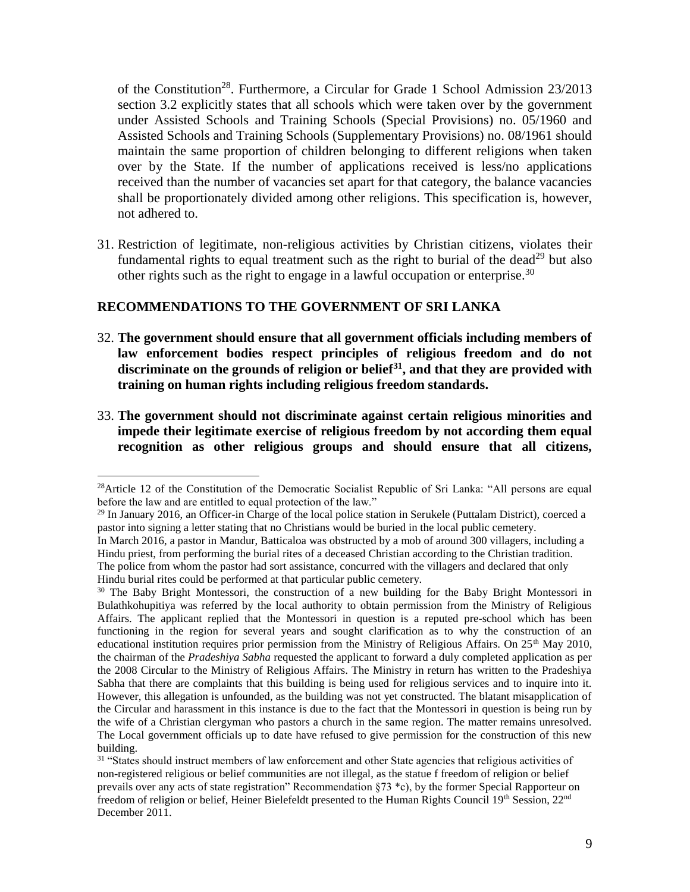of the Constitution<sup>28</sup>. Furthermore, a Circular for Grade 1 School Admission 23/2013 section 3.2 explicitly states that all schools which were taken over by the government under Assisted Schools and Training Schools (Special Provisions) no. 05/1960 and Assisted Schools and Training Schools (Supplementary Provisions) no. 08/1961 should maintain the same proportion of children belonging to different religions when taken over by the State. If the number of applications received is less/no applications received than the number of vacancies set apart for that category, the balance vacancies shall be proportionately divided among other religions. This specification is, however, not adhered to.

31. Restriction of legitimate, non-religious activities by Christian citizens, violates their fundamental rights to equal treatment such as the right to burial of the dead<sup>29</sup> but also other rights such as the right to engage in a lawful occupation or enterprise.<sup>30</sup>

### **RECOMMENDATIONS TO THE GOVERNMENT OF SRI LANKA**

- 32. **The government should ensure that all government officials including members of law enforcement bodies respect principles of religious freedom and do not discriminate on the grounds of religion or belief<sup>31</sup>, and that they are provided with training on human rights including religious freedom standards.**
- 33. **The government should not discriminate against certain religious minorities and impede their legitimate exercise of religious freedom by not according them equal recognition as other religious groups and should ensure that all citizens,**

<sup>&</sup>lt;sup>28</sup>Article 12 of the Constitution of the Democratic Socialist Republic of Sri Lanka: "All persons are equal before the law and are entitled to equal protection of the law."

<sup>&</sup>lt;sup>29</sup> In January 2016, an Officer-in Charge of the local police station in Serukele (Puttalam District), coerced a pastor into signing a letter stating that no Christians would be buried in the local public cemetery.

In March 2016, a pastor in Mandur, Batticaloa was obstructed by a mob of around 300 villagers, including a Hindu priest, from performing the burial rites of a deceased Christian according to the Christian tradition. The police from whom the pastor had sort assistance, concurred with the villagers and declared that only Hindu burial rites could be performed at that particular public cemetery.

<sup>&</sup>lt;sup>30</sup> The Baby Bright Montessori, the construction of a new building for the Baby Bright Montessori in Bulathkohupitiya was referred by the local authority to obtain permission from the Ministry of Religious Affairs. The applicant replied that the Montessori in question is a reputed pre-school which has been functioning in the region for several years and sought clarification as to why the construction of an educational institution requires prior permission from the Ministry of Religious Affairs. On 25<sup>th</sup> May 2010, the chairman of the *Pradeshiya Sabha* requested the applicant to forward a duly completed application as per the 2008 Circular to the Ministry of Religious Affairs. The Ministry in return has written to the Pradeshiya Sabha that there are complaints that this building is being used for religious services and to inquire into it. However, this allegation is unfounded, as the building was not yet constructed. The blatant misapplication of the Circular and harassment in this instance is due to the fact that the Montessori in question is being run by the wife of a Christian clergyman who pastors a church in the same region. The matter remains unresolved. The Local government officials up to date have refused to give permission for the construction of this new building.

<sup>&</sup>lt;sup>31</sup> "States should instruct members of law enforcement and other State agencies that religious activities of non-registered religious or belief communities are not illegal, as the statue f freedom of religion or belief prevails over any acts of state registration" Recommendation §73 \*c), by the former Special Rapporteur on freedom of religion or belief, Heiner Bielefeldt presented to the Human Rights Council 19th Session, 22<sup>nd</sup> December 2011.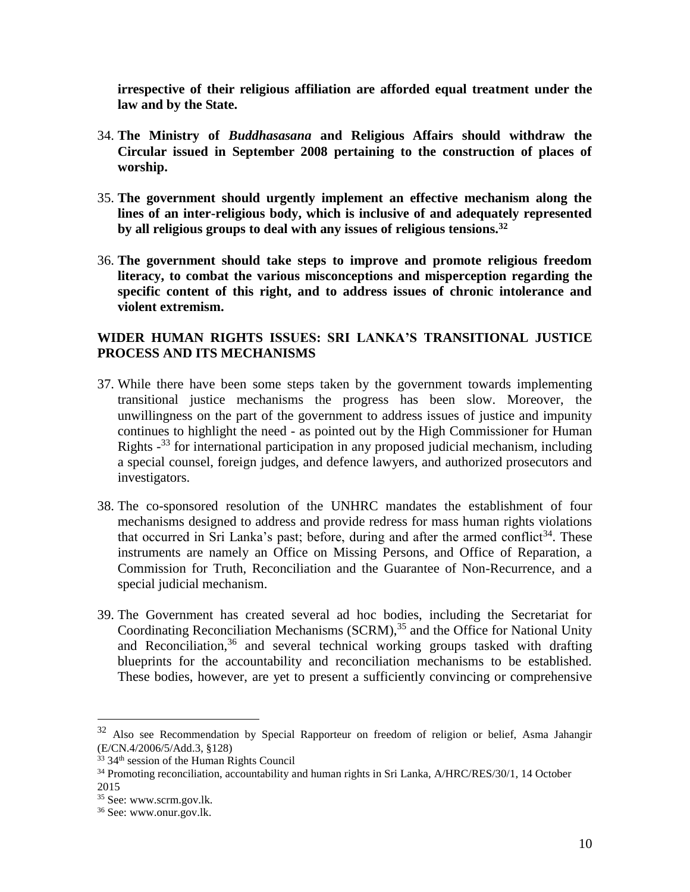**irrespective of their religious affiliation are afforded equal treatment under the law and by the State.**

- 34. **The Ministry of** *Buddhasasana* **and Religious Affairs should withdraw the Circular issued in September 2008 pertaining to the construction of places of worship.**
- 35. **The government should urgently implement an effective mechanism along the lines of an inter-religious body, which is inclusive of and adequately represented by all religious groups to deal with any issues of religious tensions.<sup>32</sup>**
- 36. **The government should take steps to improve and promote religious freedom literacy, to combat the various misconceptions and misperception regarding the specific content of this right, and to address issues of chronic intolerance and violent extremism.**

## **WIDER HUMAN RIGHTS ISSUES: SRI LANKA'S TRANSITIONAL JUSTICE PROCESS AND ITS MECHANISMS**

- 37. While there have been some steps taken by the government towards implementing transitional justice mechanisms the progress has been slow. Moreover, the unwillingness on the part of the government to address issues of justice and impunity continues to highlight the need - as pointed out by the High Commissioner for Human Rights -<sup>33</sup> for international participation in any proposed judicial mechanism, including a special counsel, foreign judges, and defence lawyers, and authorized prosecutors and investigators.
- 38. The co-sponsored resolution of the UNHRC mandates the establishment of four mechanisms designed to address and provide redress for mass human rights violations that occurred in Sri Lanka's past; before, during and after the armed conflict<sup>34</sup>. These instruments are namely an Office on Missing Persons, and Office of Reparation, a Commission for Truth, Reconciliation and the Guarantee of Non-Recurrence, and a special judicial mechanism.
- 39. The Government has created several ad hoc bodies, including the Secretariat for Coordinating Reconciliation Mechanisms  $(SCRM)$ ,  $^{35}$  and the Office for National Unity and Reconciliation,  $36$  and several technical working groups tasked with drafting blueprints for the accountability and reconciliation mechanisms to be established. These bodies, however, are yet to present a sufficiently convincing or comprehensive

<sup>&</sup>lt;sup>32</sup> Also see Recommendation by Special Rapporteur on freedom of religion or belief, Asma Jahangir (E/CN.4/2006/5/Add.3, §128)

 $33$  34<sup>th</sup> session of the Human Rights Council

<sup>&</sup>lt;sup>34</sup> Promoting reconciliation, accountability and human rights in Sri Lanka, A/HRC/RES/30/1, 14 October 2015

<sup>35</sup> See: [www.scrm.gov.lk.](http://www.scrm.gov.lk/)

<sup>36</sup> See: www.onur.gov.lk.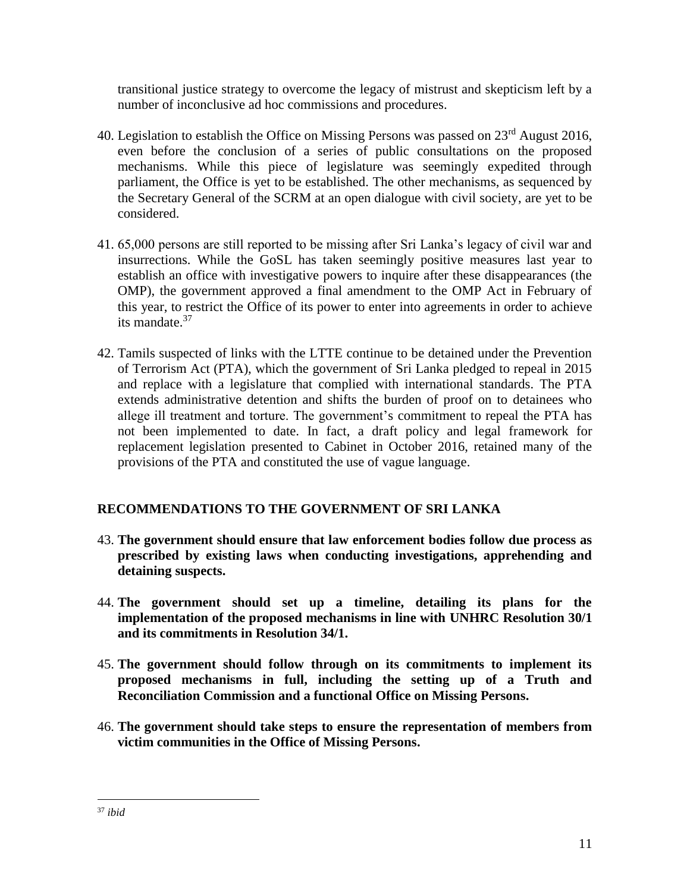transitional justice strategy to overcome the legacy of mistrust and skepticism left by a number of inconclusive ad hoc commissions and procedures.

- 40. Legislation to establish the Office on Missing Persons was passed on  $23<sup>rd</sup>$  August 2016, even before the conclusion of a series of public consultations on the proposed mechanisms. While this piece of legislature was seemingly expedited through parliament, the Office is yet to be established. The other mechanisms, as sequenced by the Secretary General of the SCRM at an open dialogue with civil society, are yet to be considered.
- 41. 65,000 persons are still reported to be missing after Sri Lanka's legacy of civil war and insurrections. While the GoSL has taken seemingly positive measures last year to establish an office with investigative powers to inquire after these disappearances (the OMP), the government approved a final amendment to the OMP Act in February of this year, to restrict the Office of its power to enter into agreements in order to achieve its mandate.<sup>37</sup>
- 42. Tamils suspected of links with the LTTE continue to be detained under the Prevention of Terrorism Act (PTA), which the government of Sri Lanka pledged to repeal in 2015 and replace with a legislature that complied with international standards. The PTA extends administrative detention and shifts the burden of proof on to detainees who allege ill treatment and torture. The government's commitment to repeal the PTA has not been implemented to date. In fact, a draft policy and legal framework for replacement legislation presented to Cabinet in October 2016, retained many of the provisions of the PTA and constituted the use of vague language.

# **RECOMMENDATIONS TO THE GOVERNMENT OF SRI LANKA**

- 43. **The government should ensure that law enforcement bodies follow due process as prescribed by existing laws when conducting investigations, apprehending and detaining suspects.**
- 44. **The government should set up a timeline, detailing its plans for the implementation of the proposed mechanisms in line with UNHRC Resolution 30/1 and its commitments in Resolution 34/1.**
- 45. **The government should follow through on its commitments to implement its proposed mechanisms in full, including the setting up of a Truth and Reconciliation Commission and a functional Office on Missing Persons.**
- 46. **The government should take steps to ensure the representation of members from victim communities in the Office of Missing Persons.**

 $\overline{a}$ <sup>37</sup> *ibid*